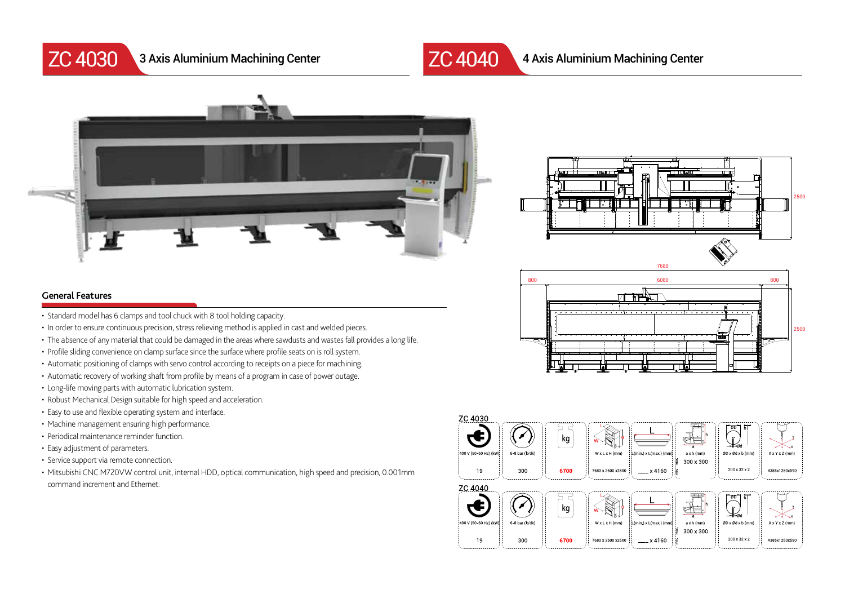

ZC 4030 3 Axis Aluminium Machining Center ZC 4040



3 Axis Aluminium Machining Center 4 Axis Aluminium Machining Center







- Standard model has 6 clamps and tool chuck with 8 tool holding capacity.
- In order to ensure continuous precision, stress relieving method is applied in cast and welded pieces.
- The absence of any material that could be damaged in the areas where sawdusts and wastes fall provides a long life.
- Profile sliding convenience on clamp surface since the surface where profile seats on is roll system.
- Automatic positioning of clamps with servo control according to receipts on a piece for machining.
- Automatic recovery of working shaft from profile by means of a program in case of power outage.
- Long-life moving parts with automatic lubrication system.
- Robust Mechanical Design suitable for high speed and acceleration.
- Easy to use and flexible operating system and interface.
- Machine management ensuring high performance.
- Periodical maintenance reminder function.
- Easy adjustment of parameters.
- Service support via remote connection.
- Mitsubishi CNC M720VW control unit, internal HDD, optical communication, high speed and precision, 0.001mm command increment and Ethernet.